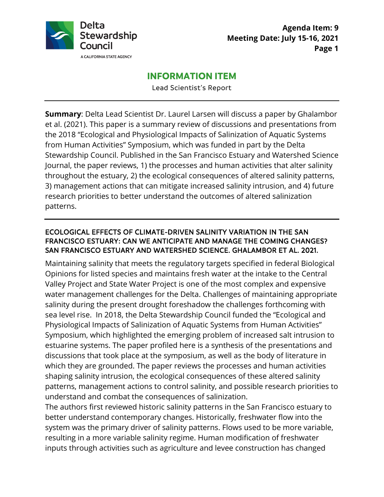

# **INFORMATION ITEM**

Lead Scientist's Report

**Summary**: Delta Lead Scientist Dr. Laurel Larsen will discuss a paper by Ghalambor et al. (2021). This paper is a summary review of discussions and presentations from the 2018 "Ecological and Physiological Impacts of Salinization of Aquatic Systems from Human Activities" Symposium, which was funded in part by the Delta Stewardship Council. Published in the San Francisco Estuary and Watershed Science Journal, the paper reviews, 1) the processes and human activities that alter salinity throughout the estuary, 2) the ecological consequences of altered salinity patterns, 3) management actions that can mitigate increased salinity intrusion, and 4) future research priorities to better understand the outcomes of altered salinization patterns.

#### ECOLOGICAL EFFECTS OF CLIMATE-DRIVEN SALINITY VARIATION IN THE SAN FRANCISCO ESTUARY: CAN WE ANTICIPATE AND MANAGE THE COMING CHANGES? SAN FRANCISCO ESTUARY AND WATERSHED SCIENCE. GHALAMBOR ET AL. 2021.

Maintaining salinity that meets the regulatory targets specified in federal Biological Opinions for listed species and maintains fresh water at the intake to the Central Valley Project and State Water Project is one of the most complex and expensive water management challenges for the Delta. Challenges of maintaining appropriate salinity during the present drought foreshadow the challenges forthcoming with sea level rise. In 2018, the Delta Stewardship Council funded the "Ecological and Physiological Impacts of Salinization of Aquatic Systems from Human Activities" Symposium, which highlighted the emerging problem of increased salt intrusion to estuarine systems. The paper profiled here is a synthesis of the presentations and discussions that took place at the symposium, as well as the body of literature in which they are grounded. The paper reviews the processes and human activities shaping salinity intrusion, the ecological consequences of these altered salinity patterns, management actions to control salinity, and possible research priorities to understand and combat the consequences of salinization.

The authors first reviewed historic salinity patterns in the San Francisco estuary to better understand contemporary changes. Historically, freshwater flow into the system was the primary driver of salinity patterns. Flows used to be more variable, resulting in a more variable salinity regime. Human modification of freshwater inputs through activities such as agriculture and levee construction has changed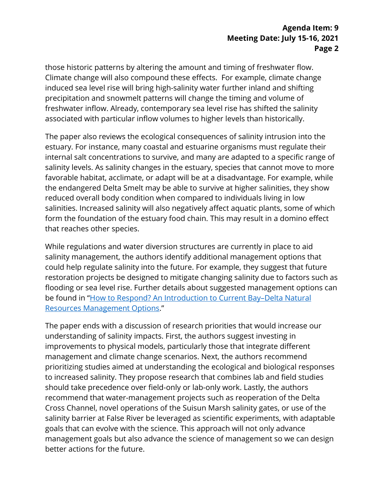those historic patterns by altering the amount and timing of freshwater flow. Climate change will also compound these effects. For example, climate change induced sea level rise will bring high-salinity water further inland and shifting precipitation and snowmelt patterns will change the timing and volume of freshwater inflow. Already, contemporary sea level rise has shifted the salinity associated with particular inflow volumes to higher levels than historically.

The paper also reviews the ecological consequences of salinity intrusion into the estuary. For instance, many coastal and estuarine organisms must regulate their internal salt concentrations to survive, and many are adapted to a specific range of salinity levels. As salinity changes in the estuary, species that cannot move to more favorable habitat, acclimate, or adapt will be at a disadvantage. For example, while the endangered Delta Smelt may be able to survive at higher salinities, they show reduced overall body condition when compared to individuals living in low salinities. Increased salinity will also negatively affect aquatic plants, some of which form the foundation of the estuary food chain. This may result in a domino effect that reaches other species.

While regulations and water diversion structures are currently in place to aid salinity management, the authors identify additional management options that could help regulate salinity into the future. For example, they suggest that future restoration projects be designed to mitigate changing salinity due to factors such as flooding or sea level rise. Further details about suggested management options can be found in ["How to Respond? An Introduction to Current Bay–Delta Natural](https://escholarship.org/uc/item/89k39485)  [Resources Management Options.](https://escholarship.org/uc/item/89k39485)"

The paper ends with a discussion of research priorities that would increase our understanding of salinity impacts. First, the authors suggest investing in improvements to physical models, particularly those that integrate different management and climate change scenarios. Next, the authors recommend prioritizing studies aimed at understanding the ecological and biological responses to increased salinity. They propose research that combines lab and field studies should take precedence over field-only or lab-only work. Lastly, the authors recommend that water-management projects such as reoperation of the Delta Cross Channel, novel operations of the Suisun Marsh salinity gates, or use of the salinity barrier at False River be leveraged as scientific experiments, with adaptable goals that can evolve with the science. This approach will not only advance management goals but also advance the science of management so we can design better actions for the future.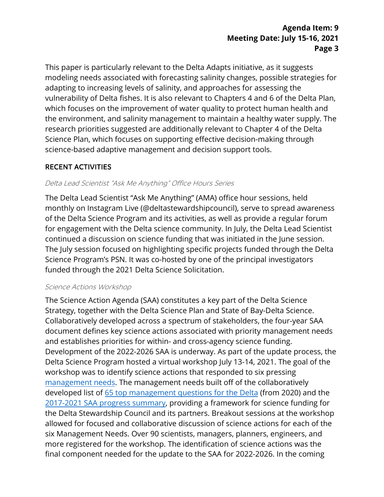## **Agenda Item: 9 Meeting Date: July 15-16, 2021 Page 3**

This paper is particularly relevant to the Delta Adapts initiative, as it suggests modeling needs associated with forecasting salinity changes, possible strategies for adapting to increasing levels of salinity, and approaches for assessing the vulnerability of Delta fishes. It is also relevant to Chapters 4 and 6 of the Delta Plan, which focuses on the improvement of water quality to protect human health and the environment, and salinity management to maintain a healthy water supply. The research priorities suggested are additionally relevant to Chapter 4 of the Delta Science Plan, which focuses on supporting effective decision-making through science-based adaptive management and decision support tools.

## RECENT ACTIVITIES

#### Delta Lead Scientist "Ask Me Anything" Office Hours Series

The Delta Lead Scientist "Ask Me Anything" (AMA) office hour sessions, held monthly on Instagram Live (@deltastewardshipcouncil), serve to spread awareness of the Delta Science Program and its activities, as well as provide a regular forum for engagement with the Delta science community. In July, the Delta Lead Scientist continued a discussion on science funding that was initiated in the June session. The July session focused on highlighting specific projects funded through the Delta Science Program's PSN. It was co-hosted by one of the principal investigators funded through the 2021 Delta Science Solicitation.

#### Science Actions Workshop

The Science Action Agenda (SAA) constitutes a key part of the Delta Science Strategy, together with the Delta Science Plan and State of Bay-Delta Science. Collaboratively developed across a spectrum of stakeholders, the four-year SAA document defines key science actions associated with priority management needs and establishes priorities for within- and cross-agency science funding. Development of the 2022-2026 SAA is underway. As part of the update process, the Delta Science Program hosted a virtual workshop July 13-14, 2021. The goal of the workshop was to identify science actions that responded to six pressing [management needs.](https://scienceactionagenda.deltacouncil.ca.gov/pdf/2021-05-26-saa-draft-management-needs.pdf) The management needs built off of the collaboratively developed list of [65 top management questions for the](https://scienceactionagenda.deltacouncil.ca.gov/pdf/2021-1-13-mqs-tops-questions-list.pdf) Delta (from 2020) and the [2017-2021 SAA progress summary,](https://scienceactionagenda.deltacouncil.ca.gov/pdf/SAA-Progress-Summary.pdf) providing a framework for science funding for the Delta Stewardship Council and its partners. Breakout sessions at the workshop allowed for focused and collaborative discussion of science actions for each of the six Management Needs. Over 90 scientists, managers, planners, engineers, and more registered for the workshop. The identification of science actions was the final component needed for the update to the SAA for 2022-2026. In the coming